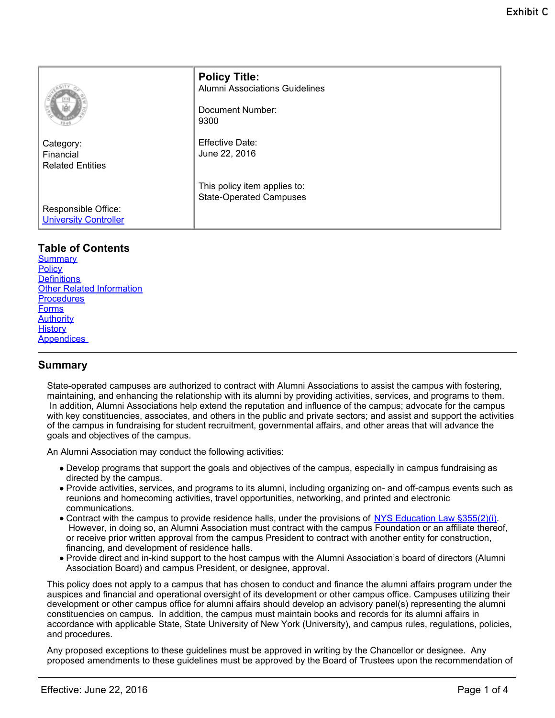|                                                     | <b>Policy Title:</b><br><b>Alumni Associations Guidelines</b><br>Document Number:<br>9300 |
|-----------------------------------------------------|-------------------------------------------------------------------------------------------|
| Category:<br>Financial<br><b>Related Entities</b>   | <b>Effective Date:</b><br>June 22, 2016                                                   |
|                                                     | This policy item applies to:<br><b>State-Operated Campuses</b>                            |
| Responsible Office:<br><b>University Controller</b> |                                                                                           |

# **Table of Contents**

**[Summary](#page-0-0) [Policy](#page-1-0) Definitions** [Other Related Information](#page-2-0) **[Procedures](#page-3-0)** [Forms](#page-3-1) **[Authority](#page-3-2) [History](#page-3-3)** [Appendices](#page-3-4) 

## <span id="page-0-0"></span>**Summary**

State-operated campuses are authorized to contract with Alumni Associations to assist the campus with fostering, maintaining, and enhancing the relationship with its alumni by providing activities, services, and programs to them. In addition, Alumni Associations help extend the reputation and influence of the campus; advocate for the campus with key constituencies, associates, and others in the public and private sectors; and assist and support the activities of the campus in fundraising for student recruitment, governmental affairs, and other areas that will advance the goals and objectives of the campus.

An Alumni Association may conduct the following activities:

- Develop programs that support the goals and objectives of the campus, especially in campus fundraising as directed by the campus.
- Provide activities, services, and programs to its alumni, including organizing on- and off-campus events such as reunions and homecoming activities, travel opportunities, networking, and printed and electronic communications.
- Contract with the campus to provide residence halls, under the provisions of [NYS Education Law §355\(2\)\(i\)](http://public.leginfo.state.ny.us/menugetf.cgi?COMMONQUERY=LAWS). However, in doing so, an Alumni Association must contract with the campus Foundation or an affiliate thereof, or receive prior written approval from the campus President to contract with another entity for construction, financing, and development of residence halls.
- Provide direct and in-kind support to the host campus with the Alumni Association's board of directors (Alumni Association Board) and campus President, or designee, approval.

This policy does not apply to a campus that has chosen to conduct and finance the alumni affairs program under the auspices and financial and operational oversight of its development or other campus office. Campuses utilizing their development or other campus office for alumni affairs should develop an advisory panel(s) representing the alumni constituencies on campus. In addition, the campus must maintain books and records for its alumni affairs in accordance with applicable State, State University of New York (University), and campus rules, regulations, policies, and procedures.

Any proposed exceptions to these guidelines must be approved in writing by the Chancellor or designee. Any proposed amendments to these guidelines must be approved by the Board of Trustees upon the recommendation of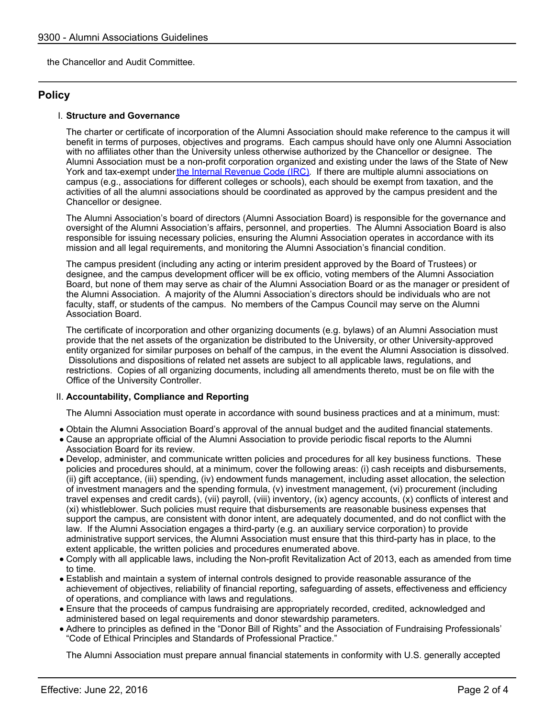the Chancellor and Audit Committee.

# <span id="page-1-0"></span>**Policy**

#### I. **Structure and Governance**

The charter or certificate of incorporation of the Alumni Association should make reference to the campus it will benefit in terms of purposes, objectives and programs. Each campus should have only one Alumni Association with no affiliates other than the University unless otherwise authorized by the Chancellor or designee. The Alumni Association must be a non-profit corporation organized and existing under the laws of the State of New York and tax-exempt under [the Internal Revenue Code \(IRC\)](http://frwebgate.access.gpo.gov/cgi-bin/getdoc.cgi?dbname=browse_usc&docid=Cite:+26USC501). If there are multiple alumni associations on campus (e.g., associations for different colleges or schools), each should be exempt from taxation, and the activities of all the alumni associations should be coordinated as approved by the campus president and the Chancellor or designee.

The Alumni Association's board of directors (Alumni Association Board) is responsible for the governance and oversight of the Alumni Association's affairs, personnel, and properties. The Alumni Association Board is also responsible for issuing necessary policies, ensuring the Alumni Association operates in accordance with its mission and all legal requirements, and monitoring the Alumni Association's financial condition.

The campus president (including any acting or interim president approved by the Board of Trustees) or designee, and the campus development officer will be ex officio, voting members of the Alumni Association Board, but none of them may serve as chair of the Alumni Association Board or as the manager or president of the Alumni Association. A majority of the Alumni Association's directors should be individuals who are not faculty, staff, or students of the campus. No members of the Campus Council may serve on the Alumni Association Board.

The certificate of incorporation and other organizing documents (e.g. bylaws) of an Alumni Association must provide that the net assets of the organization be distributed to the University, or other University-approved entity organized for similar purposes on behalf of the campus, in the event the Alumni Association is dissolved. Dissolutions and dispositions of related net assets are subject to all applicable laws, regulations, and restrictions. Copies of all organizing documents, including all amendments thereto, must be on file with the Office of the University Controller.

#### II. **Accountability, Compliance and Reporting**

The Alumni Association must operate in accordance with sound business practices and at a minimum, must:

- Obtain the Alumni Association Board's approval of the annual budget and the audited financial statements.
- Cause an appropriate official of the Alumni Association to provide periodic fiscal reports to the Alumni Association Board for its review.
- Develop, administer, and communicate written policies and procedures for all key business functions. These policies and procedures should, at a minimum, cover the following areas: (i) cash receipts and disbursements, (ii) gift acceptance, (iii) spending, (iv) endowment funds management, including asset allocation, the selection of investment managers and the spending formula, (v) investment management, (vi) procurement (including travel expenses and credit cards), (vii) payroll, (viii) inventory, (ix) agency accounts, (x) conflicts of interest and (xi) whistleblower. Such policies must require that disbursements are reasonable business expenses that support the campus, are consistent with donor intent, are adequately documented, and do not conflict with the law. If the Alumni Association engages a third-party (e.g. an auxiliary service corporation) to provide administrative support services, the Alumni Association must ensure that this third-party has in place, to the extent applicable, the written policies and procedures enumerated above.
- Comply with all applicable laws, including the Non-profit Revitalization Act of 2013, each as amended from time to time.
- Establish and maintain a system of internal controls designed to provide reasonable assurance of the achievement of objectives, reliability of financial reporting, safeguarding of assets, effectiveness and efficiency of operations, and compliance with laws and regulations.
- Ensure that the proceeds of campus fundraising are appropriately recorded, credited, acknowledged and administered based on legal requirements and donor stewardship parameters.
- Adhere to principles as defined in the "Donor Bill of Rights" and the Association of Fundraising Professionals' "Code of Ethical Principles and Standards of Professional Practice."

The Alumni Association must prepare annual financial statements in conformity with U.S. generally accepted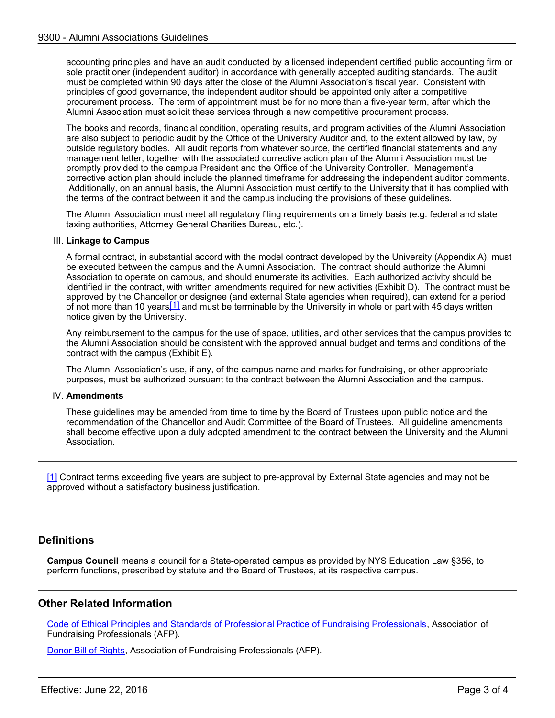accounting principles and have an audit conducted by a licensed independent certified public accounting firm or sole practitioner (independent auditor) in accordance with generally accepted auditing standards. The audit must be completed within 90 days after the close of the Alumni Association's fiscal year. Consistent with principles of good governance, the independent auditor should be appointed only after a competitive procurement process. The term of appointment must be for no more than a five-year term, after which the Alumni Association must solicit these services through a new competitive procurement process.

The books and records, financial condition, operating results, and program activities of the Alumni Association are also subject to periodic audit by the Office of the University Auditor and, to the extent allowed by law, by outside regulatory bodies. All audit reports from whatever source, the certified financial statements and any management letter, together with the associated corrective action plan of the Alumni Association must be promptly provided to the campus President and the Office of the University Controller. Management's corrective action plan should include the planned timeframe for addressing the independent auditor comments. Additionally, on an annual basis, the Alumni Association must certify to the University that it has complied with the terms of the contract between it and the campus including the provisions of these guidelines.

The Alumni Association must meet all regulatory filing requirements on a timely basis (e.g. federal and state taxing authorities, Attorney General Charities Bureau, etc.).

#### III. **Linkage to Campus**

A formal contract, in substantial accord with the model contract developed by the University (Appendix A), must be executed between the campus and the Alumni Association. The contract should authorize the Alumni Association to operate on campus, and should enumerate its activities. Each authorized activity should be identified in the contract, with written amendments required for new activities (Exhibit D). The contract must be approved by the Chancellor or designee (and external State agencies when required), can extend for a period of not more than 10 years,[1] and must be terminable by the University in whole or part with 45 days written notice given by the University.

Any reimbursement to the campus for the use of space, utilities, and other services that the campus provides to the Alumni Association should be consistent with the approved annual budget and terms and conditions of the contract with the campus (Exhibit E).

The Alumni Association's use, if any, of the campus name and marks for fundraising, or other appropriate purposes, must be authorized pursuant to the contract between the Alumni Association and the campus.

#### IV. **Amendments**

These guidelines may be amended from time to time by the Board of Trustees upon public notice and the recommendation of the Chancellor and Audit Committee of the Board of Trustees. All guideline amendments shall become effective upon a duly adopted amendment to the contract between the University and the Alumni Association.

[1] Contract terms exceeding five years are subject to pre-approval by External State agencies and may not be approved without a satisfactory business justification.

## **Definitions**

**Campus Council** means a council for a State-operated campus as provided by NYS Education Law §356, to perform functions, prescribed by statute and the Board of Trustees, at its respective campus.

## <span id="page-2-0"></span>**Other Related Information**

[Code of Ethical Principles and Standards of Professional Practice of Fundraising Professionals](http://www.afpnet.org/Ethics/EnforcementDetail.cfm?ItemNumber=3261), Association of Fundraising Professionals (AFP).

[Donor Bill of Rights](http://www.afpnet.org/ethics/enforcementDetail.cfm?ItemNumber=3359), Association of Fundraising Professionals (AFP).